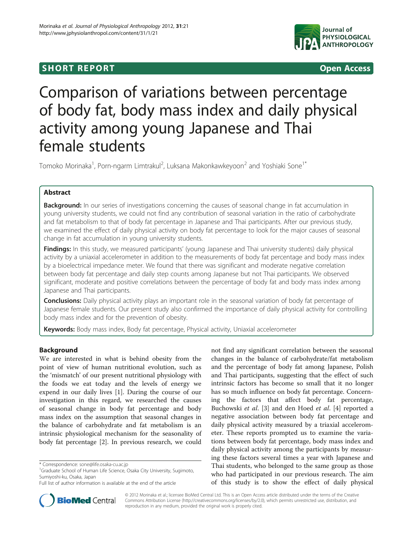## **SHORT REPORT SHORT CONSTRUCTES**



# Comparison of variations between percentage of body fat, body mass index and daily physical activity among young Japanese and Thai female students

Tomoko Morinaka $^1$ , Porn-ngarm Limtrakul $^2$ , Luksana Makonkawkeyoon $^2$  and Yoshiaki Sone $1^\ast$ 

## Abstract

Background: In our series of investigations concerning the causes of seasonal change in fat accumulation in young university students, we could not find any contribution of seasonal variation in the ratio of carbohydrate and fat metabolism to that of body fat percentage in Japanese and Thai participants. After our previous study, we examined the effect of daily physical activity on body fat percentage to look for the major causes of seasonal change in fat accumulation in young university students.

Findings: In this study, we measured participants' (young Japanese and Thai university students) daily physical activity by a uniaxial accelerometer in addition to the measurements of body fat percentage and body mass index by a bioelectrical impedance meter. We found that there was significant and moderate negative correlation between body fat percentage and daily step counts among Japanese but not Thai participants. We observed significant, moderate and positive correlations between the percentage of body fat and body mass index among Japanese and Thai participants.

**Conclusions:** Daily physical activity plays an important role in the seasonal variation of body fat percentage of Japanese female students. Our present study also confirmed the importance of daily physical activity for controlling body mass index and for the prevention of obesity.

Keywords: Body mass index, Body fat percentage, Physical activity, Uniaxial accelerometer

## Background

We are interested in what is behind obesity from the point of view of human nutritional evolution, such as the 'mismatch' of our present nutritional physiology with the foods we eat today and the levels of energy we expend in our daily lives [[1\]](#page-3-0). During the course of our investigation in this regard, we researched the causes of seasonal change in body fat percentage and body mass index on the assumption that seasonal changes in the balance of carbohydrate and fat metabolism is an intrinsic physiological mechanism for the seasonality of body fat percentage [\[2](#page-3-0)]. In previous research, we could

not find any significant correlation between the seasonal changes in the balance of carbohydrate/fat metabolism and the percentage of body fat among Japanese, Polish and Thai participants, suggesting that the effect of such intrinsic factors has become so small that it no longer has so much influence on body fat percentage. Concerning the factors that affect body fat percentage, Buchowski et al. [[3](#page-3-0)] and den Hoed et al. [[4\]](#page-3-0) reported a negative association between body fat percentage and daily physical activity measured by a triaxial accelerometer. These reports prompted us to examine the variations between body fat percentage, body mass index and daily physical activity among the participants by measuring these factors several times a year with Japanese and Thai students, who belonged to the same group as those who had participated in our previous research. The aim of this study is to show the effect of daily physical



© 2012 Morinaka et al.; licensee BioMed Central Ltd. This is an Open Access article distributed under the terms of the Creative Commons Attribution License [\(http://creativecommons.org/licenses/by/2.0\)](http://creativecommons.org/licenses/by/2.0), which permits unrestricted use, distribution, and reproduction in any medium, provided the original work is properly cited.

<sup>\*</sup> Correspondence: [sone@life.osaka-cu.ac.jp](mailto:sone@life.osaka-u.ac.jp) <sup>1</sup>

<sup>&</sup>lt;sup>1</sup>Graduate School of Human Life Science, Osaka City University, Sugimoto, Sumiyoshi-ku, Osaka, Japan

Full list of author information is available at the end of the article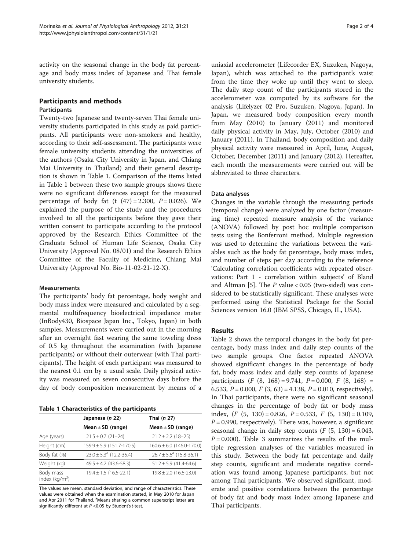activity on the seasonal change in the body fat percentage and body mass index of Japanese and Thai female university students.

## Participants and methods Participants

Twenty-two Japanese and twenty-seven Thai female university students participated in this study as paid participants. All participants were non-smokers and healthy, according to their self-assessment. The participants were female university students attending the universities of the authors (Osaka City University in Japan, and Chiang Mai University in Thailand) and their general description is shown in Table 1. Comparison of the items listed in Table 1 between these two sample groups shows there were no significant differences except for the measured percentage of body fat (t  $(47) = 2.300$ ,  $P = 0.026$ ). We explained the purpose of the study and the procedures involved to all the participants before they gave their written consent to participate according to the protocol approved by the Research Ethics Committee of the Graduate School of Human Life Science, Osaka City University (Approval No. 08/01) and the Research Ethics Committee of the Faculty of Medicine, Chiang Mai University (Approval No. Bio-11-02-21-12-X).

## Measurements

The participants' body fat percentage, body weight and body mass index were measured and calculated by a segmental multifrequency bioelectrical impedance meter (InBody430, Biospace Japan Inc., Tokyo, Japan) in both samples. Measurements were carried out in the morning after an overnight fast wearing the same toweling dress of 0.5 kg throughout the examination (with Japanese participants) or without their outerwear (with Thai participants). The height of each participant was measured to the nearest 0.1 cm by a usual scale. Daily physical activity was measured on seven consecutive days before the day of body composition measurement by means of a

Table 1 Characteristics of the participants

|                                | Japanese (n 22)                         | Thai (n 27)                        |  |  |
|--------------------------------|-----------------------------------------|------------------------------------|--|--|
|                                | Mean $\pm$ SD (range)                   | Mean $\pm$ SD (range)              |  |  |
| Age (years)                    | $21.5 \pm 0.7$ (21-24)                  | $21.2 \pm 2.2$ (18-25)             |  |  |
| Height (cm)                    | $159.9 \pm 5.9$ (151.7-170.5)           | $160.6 \pm 6.0$ (146.0-170.0)      |  |  |
| Body fat (%)                   | $23.0 \pm 5.3$ <sup>a</sup> (12.2-35.4) | $26.7 \pm 5.6^{\circ}$ (15.8-36.1) |  |  |
| Weight (kg)                    | $49.5 \pm 4.2$ (43.6-58.3)              | $51.2 \pm 5.9$ (41.4-64.6)         |  |  |
| Body mass<br>index ( $kg/m2$ ) | $19.4 \pm 1.5$ (16.5-22.1)              | $19.8 \pm 2.0$ (16.6-23.0)         |  |  |

The values are mean, standard deviation, and range of characteristics. These values were obtained when the examination started, in May 2010 for Japan and Apr 2011 for Thailand. <sup>a</sup>Means sharing a common superscript letter are significantly different at  $P < 0.05$  by Student's t-test.

uniaxial accelerometer (Lifecorder EX, Suzuken, Nagoya, Japan), which was attached to the participant's waist from the time they woke up until they went to sleep. The daily step count of the participants stored in the accelerometer was computed by its software for the analysis (Lifelyzer 02 Pro, Suzuken, Nagoya, Japan). In Japan, we measured body composition every month from May (2010) to January (2011) and monitored daily physical activity in May, July, October (2010) and January (2011). In Thailand, body composition and daily physical activity were measured in April, June, August, October, December (2011) and January (2012). Hereafter, each month the measurements were carried out will be abbreviated to three characters.

## Data analyses

Changes in the variable through the measuring periods (temporal change) were analyzed by one factor (measuring time) repeated measure analysis of the variance (ANOVA) followed by post hoc multiple comparison tests using the Bonferroni method. Multiple regression was used to determine the variations between the variables such as the body fat percentage, body mass index, and number of steps per day according to the reference 'Calculating correlation coefficients with repeated observations: Part 1 - correlation within subjects' of Bland and Altman [\[5](#page-3-0)]. The  $P$  value < 0.05 (two-sided) was considered to be statistically significant. These analyses were performed using the Statistical Package for the Social Sciences version 16.0 (IBM SPSS, Chicago, IL, USA).

## Results

Table [2](#page-2-0) shows the temporal changes in the body fat percentage, body mass index and daily step counts of the two sample groups. One factor repeated ANOVA showed significant changes in the percentage of body fat, body mass index and daily step counts of Japanese participants  $(F (8, 168) = 9.741, P = 0.000, F (8, 168) =$ 6.533,  $P = 0.000$ ,  $F(3, 63) = 4.138$ ,  $P = 0.010$ , respectively). In Thai participants, there were no significant seasonal changes in the percentage of body fat or body mass index,  $(F (5, 130) = 0.826, P = 0.533, F (5, 130) = 0.109,$  $P = 0.990$ , respectively). There was, however, a significant seasonal change in daily step counts  $(F (5, 130) = 6.043,$  $P = 0.000$ . Table [3](#page-2-0) summarizes the results of the multiple regression analyses of the variables measured in this study. Between the body fat percentage and daily step counts, significant and moderate negative correlation was found among Japanese participants, but not among Thai participants. We observed significant, moderate and positive correlations between the percentage of body fat and body mass index among Japanese and Thai participants.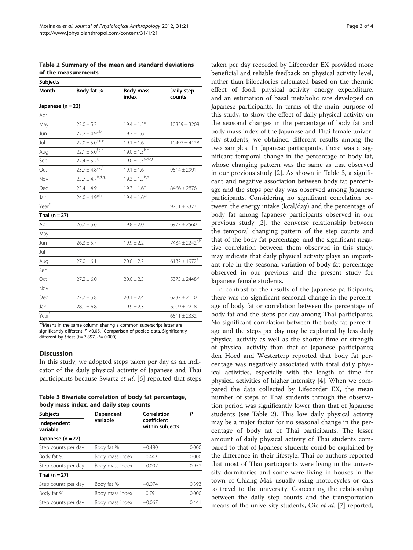<span id="page-2-0"></span>Table 2 Summary of the mean and standard deviations of the measurements

| <b>Subjects</b>   |                          |                           |                              |  |  |
|-------------------|--------------------------|---------------------------|------------------------------|--|--|
| Month             | Body fat %               | <b>Body mass</b><br>index | Daily step<br>counts         |  |  |
| Japanese $(n=22)$ |                          |                           |                              |  |  |
| Apr               |                          |                           |                              |  |  |
| May               | $23.0 \pm 5.3$           | $19.4 \pm 1.5^a$          | $10329 \pm 3208$             |  |  |
| Jun               | $22.2 \pm 4.9^{a,b}$     | $19.2 \pm 1.6$            |                              |  |  |
| Jul               | $22.0 \pm 5.0^{c,d,e}$   | $19.1 \pm 1.6$            | $10493 \pm 4128$             |  |  |
| Aug               | $22.1 \pm 5.0^{f, g, h}$ | $19.0 \pm 1.5^{b,c}$      |                              |  |  |
| Sep               | $22.4 \pm 5.2^{i,j}$     | $19.0 \pm 1.5^{a,d,e,f}$  |                              |  |  |
| Oct               | $23.7 \pm 4.8^{a,c,f,i}$ | $19.1 \pm 1.6$            | $9514 \pm 2991$              |  |  |
| Nov               | $23.7 \pm 4.7^{b,d,g,j}$ | $19.3 \pm 1.5^{b,d}$      |                              |  |  |
| Dec               | $23.4 \pm 4.9$           | $19.3 \pm 1.6^e$          | $8466 \pm 2876$              |  |  |
| Jan               | $24.0 \pm 4.9^{e,h}$     | $19.4 \pm 1.6^{c,f}$      |                              |  |  |
| $Year^*$          |                          |                           | $9701 \pm 3377$              |  |  |
| Thai $(n=27)$     |                          |                           |                              |  |  |
| Apr               | $26.7 \pm 5.6$           | $19.8 \pm 2.0$            | $6977 \pm 2560$              |  |  |
| May               |                          |                           |                              |  |  |
| Jun               | $26.3 \pm 5.7$           | $19.9 \pm 2.2$            | $7434 \pm 2242^{a,b}$        |  |  |
| Jul               |                          |                           |                              |  |  |
| Aug               | $27.0 \pm 6.1$           | $20.0 \pm 2.2$            | $6132 \pm 1972$ <sup>a</sup> |  |  |
| Sep               |                          |                           |                              |  |  |
| Oct               | $27.2 \pm 6.0$           | $20.0 \pm 2.3$            | $5375 \pm 2448$ <sup>b</sup> |  |  |
| Nov               |                          |                           |                              |  |  |
| Dec               | $27.7 \pm 5.8$           | $20.1 \pm 2.4$            | $6237 \pm 2110$              |  |  |
| Jan               | $28.1 \pm 6.8$           | $19.9 \pm 2.3$            | $6909 \pm 2218$              |  |  |
| Year <sup>*</sup> |                          |                           | $6511 \pm 2332$              |  |  |

a-jMeans in the same column sharing a common superscript letter are significantly different, P <0.05.  $^*$ Comparison of pooled data. Significantly different by tatest (t – 7.897, P – 0.000) different by t-test (t = 7.897,  $P = 0.000$ ).

## **Discussion**

In this study, we adopted steps taken per day as an indicator of the daily physical activity of Japanese and Thai participants because Swartz et al. [\[6](#page-3-0)] reported that steps

Table 3 Bivariate correlation of body fat percentage, body mass index, and daily step counts

| <b>Subjects</b>         | Dependent       | Correlation                    | Р     |
|-------------------------|-----------------|--------------------------------|-------|
| Independent<br>variable | variable        | coefficient<br>within subjects |       |
| Japanese $(n=22)$       |                 |                                |       |
| Step counts per day     | Body fat %      | $-0.480$                       | 0.000 |
| Body fat %              | Body mass index | 0.443                          | 0.000 |
| Step counts per day     | Body mass index | $-0.007$                       | 0.952 |
| Thai (n = 27)           |                 |                                |       |
| Step counts per day     | Body fat %      | $-0.074$                       | 0.393 |
| Body fat %              | Body mass index | 0.791                          | 0.000 |
| Step counts per day     | Body mass index | $-0.067$                       | 0.441 |

taken per day recorded by Lifecorder EX provided more beneficial and reliable feedback on physical activity level, rather than kilocalories calculated based on the thermic effect of food, physical activity energy expenditure, and an estimation of basal metabolic rate developed on Japanese participants. In terms of the main purpose of this study, to show the effect of daily physical activity on the seasonal changes in the percentage of body fat and body mass index of the Japanese and Thai female university students, we obtained different results among the two samples. In Japanese participants, there was a significant temporal change in the percentage of body fat, whose changing pattern was the same as that observed in our previous study [\[2](#page-3-0)]. As shown in Table 3, a significant and negative association between body fat percentage and the steps per day was observed among Japanese participants. Considering no significant correlation between the energy intake (kcal/day) and the percentage of body fat among Japanese participants observed in our previous study [[2](#page-3-0)], the converse relationship between the temporal changing pattern of the step counts and that of the body fat percentage, and the significant negative correlation between them observed in this study, may indicate that daily physical activity plays an important role in the seasonal variation of body fat percentage observed in our previous and the present study for Japanese female students.

In contrast to the results of the Japanese participants, there was no significant seasonal change in the percentage of body fat or correlation between the percentage of body fat and the steps per day among Thai participants. No significant correlation between the body fat percentage and the steps per day may be explained by less daily physical activity as well as the shorter time or strength of physical activity than that of Japanese participants; den Hoed and Westerterp reported that body fat percentage was negatively associated with total daily physical activities, especially with the length of time for physical activities of higher intensity [\[4\]](#page-3-0). When we compared the data collected by Lifecorder EX, the mean number of steps of Thai students through the observation period was significantly lower than that of Japanese students (see Table 2). This low daily physical activity may be a major factor for no seasonal change in the percentage of body fat of Thai participants. The lesser amount of daily physical activity of Thai students compared to that of Japanese students could be explained by the difference in their lifestyle. Thai co-authors reported that most of Thai participants were living in the university dormitories and some were living in houses in the town of Chiang Mai, usually using motorcycles or cars to travel to the university. Concerning the relationship between the daily step counts and the transportation means of the university students, Oie et al. [\[7](#page-3-0)] reported,